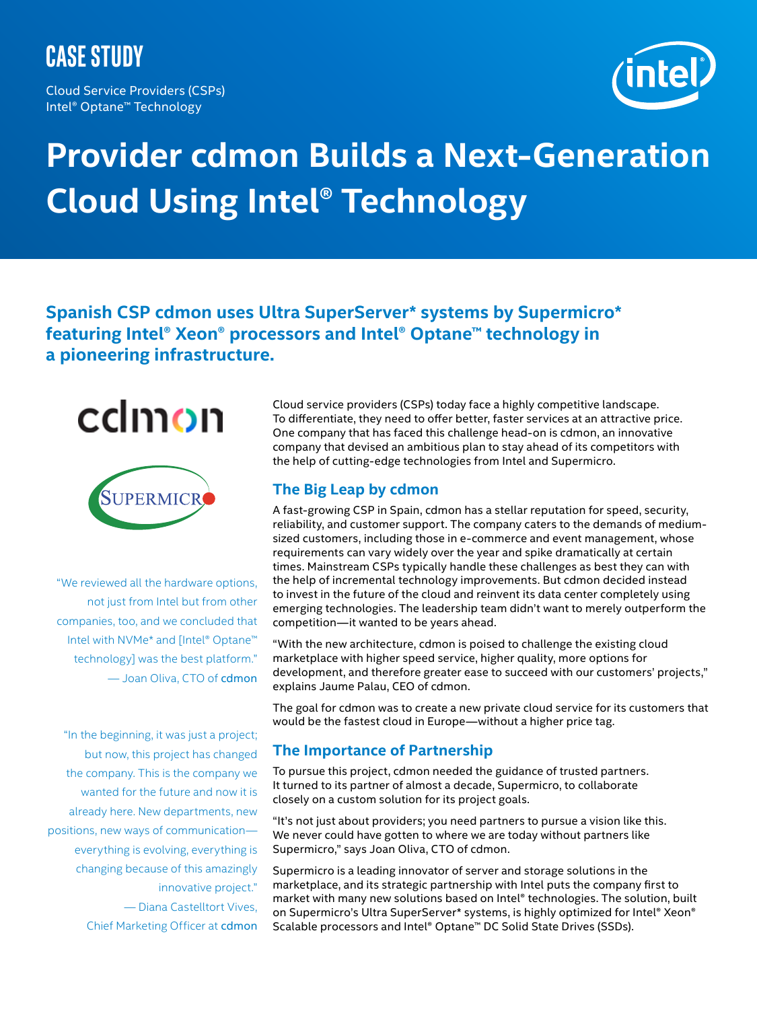# **case study**

Cloud Service Providers (CSPs) Intel® Optane™ Technology



# **Provider cdmon Builds a Next-Generation Cloud Using Intel® Technology**

**Spanish CSP cdmon uses Ultra SuperServer\* systems by Supermicro\* featuring Intel® Xeon® processors and Intel® Optane™ technology in a pioneering infrastructure.**



"We reviewed all the hardware options, not just from Intel but from other companies, too, and we concluded that Intel with NVMe\* and [Intel® Optane™ technology] was the best platform." — Joan Oliva, CTO of cdmon

"In the beginning, it was just a project; but now, this project has changed the company. This is the company we wanted for the future and now it is already here. New departments, new positions, new ways of communication everything is evolving, everything is changing because of this amazingly innovative project." — Diana Castelltort Vives,

Chief Marketing Officer at cdmon

Cloud service providers (CSPs) today face a highly competitive landscape. To differentiate, they need to offer better, faster services at an attractive price. One company that has faced this challenge head-on is cdmon, an innovative company that devised an ambitious plan to stay ahead of its competitors with the help of cutting-edge technologies from Intel and Supermicro.

# **The Big Leap by cdmon**

A fast-growing CSP in Spain, cdmon has a stellar reputation for speed, security, reliability, and customer support. The company caters to the demands of mediumsized customers, including those in e-commerce and event management, whose requirements can vary widely over the year and spike dramatically at certain times. Mainstream CSPs typically handle these challenges as best they can with the help of incremental technology improvements. But cdmon decided instead to invest in the future of the cloud and reinvent its data center completely using emerging technologies. The leadership team didn't want to merely outperform the competition—it wanted to be years ahead.

"With the new architecture, cdmon is poised to challenge the existing cloud marketplace with higher speed service, higher quality, more options for development, and therefore greater ease to succeed with our customers' projects," explains Jaume Palau, CEO of cdmon.

The goal for cdmon was to create a new private cloud service for its customers that would be the fastest cloud in Europe—without a higher price tag.

#### **The Importance of Partnership**

To pursue this project, cdmon needed the guidance of trusted partners. It turned to its partner of almost a decade, Supermicro, to collaborate closely on a custom solution for its project goals.

"It's not just about providers; you need partners to pursue a vision like this. We never could have gotten to where we are today without partners like Supermicro," says Joan Oliva, CTO of cdmon.

Supermicro is a leading innovator of server and storage solutions in the marketplace, and its strategic partnership with Intel puts the company first to market with many new solutions based on Intel® technologies. The solution, built on Supermicro's Ultra SuperServer\* systems, is highly optimized for Intel® Xeon® Scalable processors and Intel® Optane™ DC Solid State Drives (SSDs).